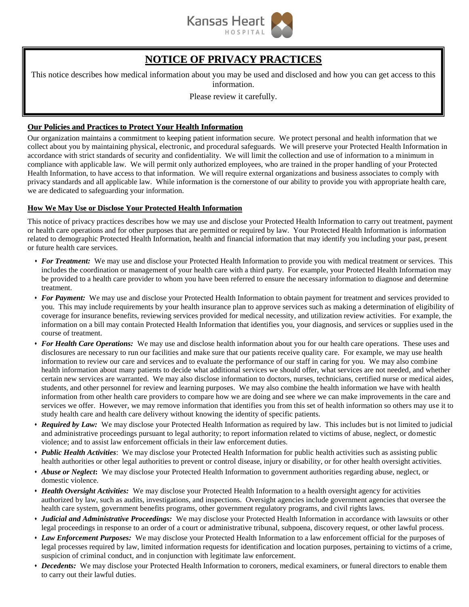

# **NOTICE OF PRIVACY PRACTICES**

This notice describes how medical information about you may be used and disclosed and how you can get access to this information.

Please review it carefully.

# **Our Policies and Practices to Protect Your Health Information**

Our organization maintains a commitment to keeping patient information secure. We protect personal and health information that we collect about you by maintaining physical, electronic, and procedural safeguards. We will preserve your Protected Health Information in accordance with strict standards of security and confidentiality. We will limit the collection and use of information to a minimum in compliance with applicable law. We will permit only authorized employees, who are trained in the proper handling of your Protected Health Information, to have access to that information. We will require external organizations and business associates to comply with privacy standards and all applicable law. While information is the cornerstone of our ability to provide you with appropriate health care, we are dedicated to safeguarding your information.

### **How We May Use or Disclose Your Protected Health Information**

This notice of privacy practices describes how we may use and disclose your Protected Health Information to carry out treatment, payment or health care operations and for other purposes that are permitted or required by law. Your Protected Health Information is information related to demographic Protected Health Information, health and financial information that may identify you including your past, present or future health care services.

- *For Treatment:* We may use and disclose your Protected Health Information to provide you with medical treatment or services. This includes the coordination or management of your health care with a third party. For example, your Protected Health Information may be provided to a health care provider to whom you have been referred to ensure the necessary information to diagnose and determine treatment.
- *For Payment:* We may use and disclose your Protected Health Information to obtain payment for treatment and services provided to you. This may include requirements by your health insurance plan to approve services such as making a determination of eligibility of coverage for insurance benefits, reviewing services provided for medical necessity, and utilization review activities. For example, the information on a bill may contain Protected Health Information that identifies you, your diagnosis, and services or supplies used in the course of treatment.
- *For Health Care Operations:* We may use and disclose health information about you for our health care operations. These uses and disclosures are necessary to run our facilities and make sure that our patients receive quality care. For example, we may use health information to review our care and services and to evaluate the performance of our staff in caring for you. We may also combine health information about many patients to decide what additional services we should offer, what services are not needed, and whether certain new services are warranted. We may also disclose information to doctors, nurses, technicians, certified nurse or medical aides, students, and other personnel for review and learning purposes. We may also combine the health information we have with health information from other health care providers to compare how we are doing and see where we can make improvements in the care and services we offer. However, we may remove information that identifies you from this set of health information so others may use it to study health care and health care delivery without knowing the identity of specific patients.
- *Required by Law:* We may disclose your Protected Health Information as required by law. This includes but is not limited to judicial and administrative proceedings pursuant to legal authority; to report information related to victims of abuse, neglect, or domestic violence; and to assist law enforcement officials in their law enforcement duties.
- *Public Health Activities*: We may disclose your Protected Health Information for public health activities such as assisting public health authorities or other legal authorities to prevent or control disease, injury or disability, or for other health oversight activities.
- *Abuse or Neglect***:** We may disclose your Protected Health Information to government authorities regarding abuse, neglect, or domestic violence.
- *Health Oversight Activities:* We may disclose your Protected Health Information to a health oversight agency for activities authorized by law, such as audits, investigations, and inspections. Oversight agencies include government agencies that oversee the health care system, government benefits programs, other government regulatory programs, and civil rights laws.
- *Judicial and Administrative Proceedings:* We may disclose your Protected Health Information in accordance with lawsuits or other legal proceedings in response to an order of a court or administrative tribunal, subpoena, discovery request, or other lawful process.
- *Law Enforcement Purposes:* We may disclose your Protected Health Information to a law enforcement official for the purposes of legal processes required by law, limited information requests for identification and location purposes, pertaining to victims of a crime, suspicion of criminal conduct, and in conjunction with legitimate law enforcement.
- *Decedents:* We may disclose your Protected Health Information to coroners, medical examiners, or funeral directors to enable them to carry out their lawful duties.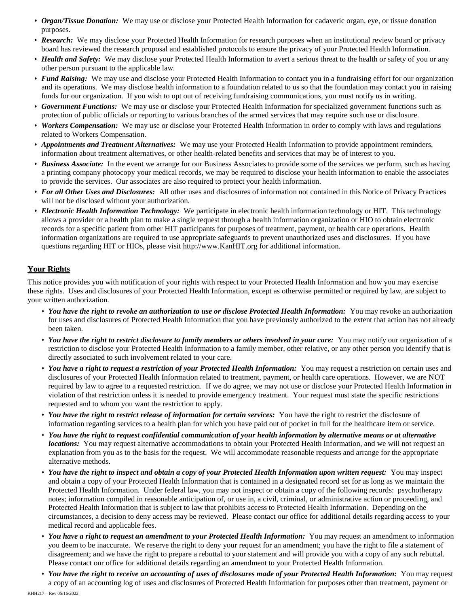- *Organ/Tissue Donation:* We may use or disclose your Protected Health Information for cadaveric organ, eye, or tissue donation purposes.
- *Research:* We may disclose your Protected Health Information for research purposes when an institutional review board or privacy board has reviewed the research proposal and established protocols to ensure the privacy of your Protected Health Information.
- *Health and Safety:* We may disclose your Protected Health Information to avert a serious threat to the health or safety of you or any other person pursuant to the applicable law.
- *Fund Raising:* We may use and disclose your Protected Health Information to contact you in a fundraising effort for our organization and its operations. We may disclose health information to a foundation related to us so that the foundation may contact you in raising funds for our organization. If you wish to opt out of receiving fundraising communications, you must notify us in writing.
- *Government Functions:* We may use or disclose your Protected Health Information for specialized government functions such as protection of public officials or reporting to various branches of the armed services that may require such use or disclosure.
- *Workers Compensation:* We may use or disclose your Protected Health Information in order to comply with laws and regulations related to Workers Compensation.
- *Appointments and Treatment Alternatives:* We may use your Protected Health Information to provide appointment reminders, information about treatment alternatives, or other health-related benefits and services that may be of interest to you.
- *Business Associate:* In the event we arrange for our Business Associates to provide some of the services we perform, such as having a printing company photocopy your medical records, we may be required to disclose your health information to enable the associates to provide the services. Our associates are also required to protect your health information.
- *For all Other Uses and Disclosures:* All other uses and disclosures of information not contained in this Notice of Privacy Practices will not be disclosed without your authorization.
- *Electronic Health Information Technology:* We participate in electronic health information technology or HIT. This technology allows a provider or a health plan to make a single request through a health information organization or HIO to obtain electronic records for a specific patient from other HIT participants for purposes of treatment, payment, or health care operations. Health information organizations are required to use appropriate safeguards to prevent unauthorized uses and disclosures. If you have questions regarding HIT or HIOs, please visit [http://www.KanHIT.org](http://www.kanhit.org/) for additional information.

# **Your Rights**

This notice provides you with notification of your rights with respect to your Protected Health Information and how you may exercise these rights. Uses and disclosures of your Protected Health Information, except as otherwise permitted or required by law, are subject to your written authorization.

- *You have the right to revoke an authorization to use or disclose Protected Health Information:* You may revoke an authorization for uses and disclosures of Protected Health Information that you have previously authorized to the extent that action has not already been taken.
- *You have the right to restrict disclosure to family members or others involved in your care:* You may notify our organization of a restriction to disclose your Protected Health Information to a family member, other relative, or any other person you identify that is directly associated to such involvement related to your care.
- *You have a right to request a restriction of your Protected Health Information:* You may request a restriction on certain uses and disclosures of your Protected Health Information related to treatment, payment, or health care operations. However, we are NOT required by law to agree to a requested restriction. If we do agree, we may not use or disclose your Protected Health Information in violation of that restriction unless it is needed to provide emergency treatment. Your request must state the specific restrictions requested and to whom you want the restriction to apply.
- *You have the right to restrict release of information for certain services:* You have the right to restrict the disclosure of information regarding services to a health plan for which you have paid out of pocket in full for the healthcare item or service.
- *You have the right to request confidential communication of your health information by alternative means or at alternative locations:* You may request alternative accommodations to obtain your Protected Health Information, and we will not request an explanation from you as to the basis for the request. We will accommodate reasonable requests and arrange for the appropriate alternative methods.
- *You have the right to inspect and obtain a copy of your Protected Health Information upon written request:* You may inspect and obtain a copy of your Protected Health Information that is contained in a designated record set for as long as we maintain the Protected Health Information. Under federal law, you may not inspect or obtain a copy of the following records: psychotherapy notes; information compiled in reasonable anticipation of, or use in, a civil, criminal, or administrative action or proceeding, and Protected Health Information that is subject to law that prohibits access to Protected Health Information. Depending on the circumstances, a decision to deny access may be reviewed. Please contact our office for additional details regarding access to your medical record and applicable fees.
- *You have a right to request an amendment to your Protected Health Information:* You may request an amendment to information you deem to be inaccurate. We reserve the right to deny your request for an amendment; you have the right to file a statement of disagreement; and we have the right to prepare a rebuttal to your statement and will provide you with a copy of any such rebuttal. Please contact our office for additional details regarding an amendment to your Protected Health Information.
- *You have the right to receive an accounting of uses of disclosures made of your Protected Health Information:* You may request a copy of an accounting log of uses and disclosures of Protected Health Information for purposes other than treatment, payment or